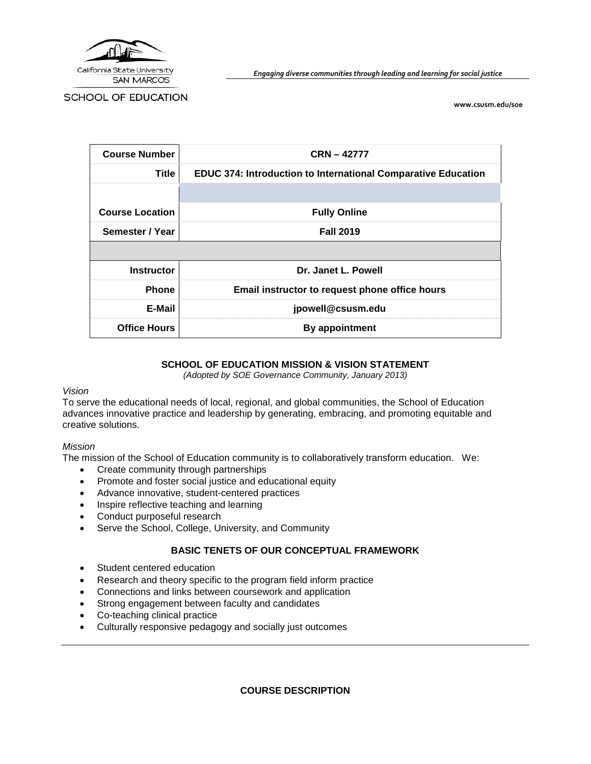

*Engaging diverse communities through leading and learning for social justice*

SCHOOL OF EDUCATION

**[www.csusm.edu/soe](http://www.csusm.edu/education)**

| <b>Course Number</b>   | $CRN - 42777$                                                        |  |  |
|------------------------|----------------------------------------------------------------------|--|--|
| Title                  | <b>EDUC 374: Introduction to International Comparative Education</b> |  |  |
|                        |                                                                      |  |  |
| <b>Course Location</b> | <b>Fully Online</b>                                                  |  |  |
| Semester / Year        | <b>Fall 2019</b>                                                     |  |  |
|                        |                                                                      |  |  |
| <b>Instructor</b>      | Dr. Janet L. Powell                                                  |  |  |
| <b>Phone</b>           | Email instructor to request phone office hours                       |  |  |
| E-Mail                 | jpowell@csusm.edu                                                    |  |  |
| <b>Office Hours</b>    | By appointment                                                       |  |  |

#### **SCHOOL OF EDUCATION MISSION & VISION STATEMENT**

*(Adopted by SOE Governance Community, January 2013)*

#### *Vision*

To serve the educational needs of local, regional, and global communities, the School of Education advances innovative practice and leadership by generating, embracing, and promoting equitable and creative solutions.

#### *Mission*

The mission of the School of Education community is to collaboratively transform education. We:

- Create community through partnerships
- Promote and foster social justice and educational equity
- Advance innovative, student-centered practices
- Inspire reflective teaching and learning
- Conduct purposeful research
- Serve the School, College, University, and Community

#### **BASIC TENETS OF OUR CONCEPTUAL FRAMEWORK**

- Student centered education
- Research and theory specific to the program field inform practice
- Connections and links between coursework and application
- Strong engagement between faculty and candidates
- Co-teaching clinical practice
- Culturally responsive pedagogy and socially just outcomes

**COURSE DESCRIPTION**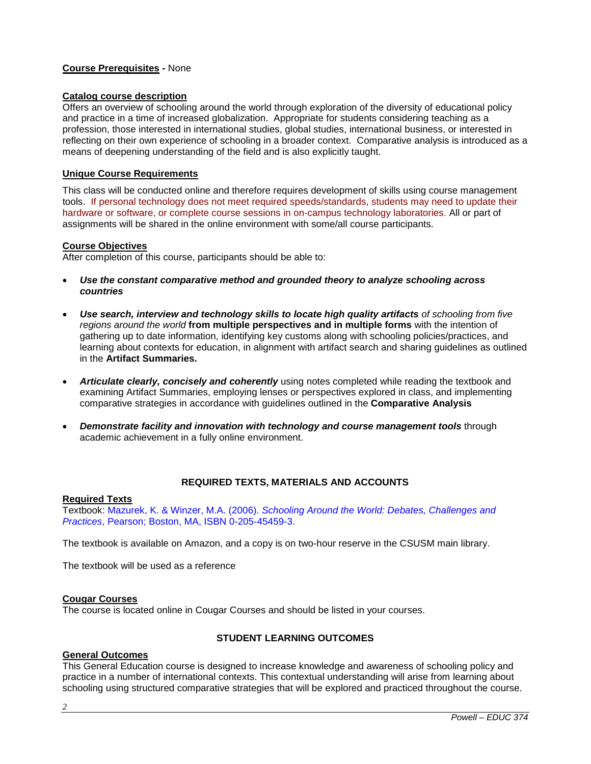#### **Course Prerequisites -** None

#### **Catalog course description**

Offers an overview of schooling around the world through exploration of the diversity of educational policy and practice in a time of increased globalization. Appropriate for students considering teaching as a profession, those interested in international studies, global studies, international business, or interested in reflecting on their own experience of schooling in a broader context. Comparative analysis is introduced as a means of deepening understanding of the field and is also explicitly taught.

#### **Unique Course Requirements**

This class will be conducted online and therefore requires development of skills using course management tools. If personal technology does not meet required speeds/standards, students may need to update their hardware or software, or complete course sessions in on-campus technology laboratories. All or part of assignments will be shared in the online environment with some/all course participants.

#### **Course Objectives**

After completion of this course, participants should be able to:

- *Use the constant comparative method and grounded theory to analyze schooling across countries*
- *Use search, interview and technology skills to locate high quality artifacts of schooling from five regions around the world* **from multiple perspectives and in multiple forms** with the intention of gathering up to date information, identifying key customs along with schooling policies/practices, and learning about contexts for education, in alignment with artifact search and sharing guidelines as outlined in the **Artifact Summaries.**
- *Articulate clearly, concisely and coherently* using notes completed while reading the textbook and examining Artifact Summaries, employing lenses or perspectives explored in class, and implementing comparative strategies in accordance with guidelines outlined in the **Comparative Analysis**
- *Demonstrate facility and innovation with technology and course management tools* through academic achievement in a fully online environment.

### **REQUIRED TEXTS, MATERIALS AND ACCOUNTS**

#### **Required Texts**

Textbook: Mazurek, K. & Winzer, M.A. (2006). *Schooling Around the World: Debates, Challenges and Practices*, Pearson; Boston, MA, ISBN 0-205-45459-3.

The textbook is available on Amazon, and a copy is on two-hour reserve in the CSUSM main library.

The textbook will be used as a reference

#### **Cougar Courses**

The course is located online in Cougar Courses and should be listed in your courses.

### **STUDENT LEARNING OUTCOMES**

#### **General Outcomes**

This General Education course is designed to increase knowledge and awareness of schooling policy and practice in a number of international contexts. This contextual understanding will arise from learning about schooling using structured comparative strategies that will be explored and practiced throughout the course.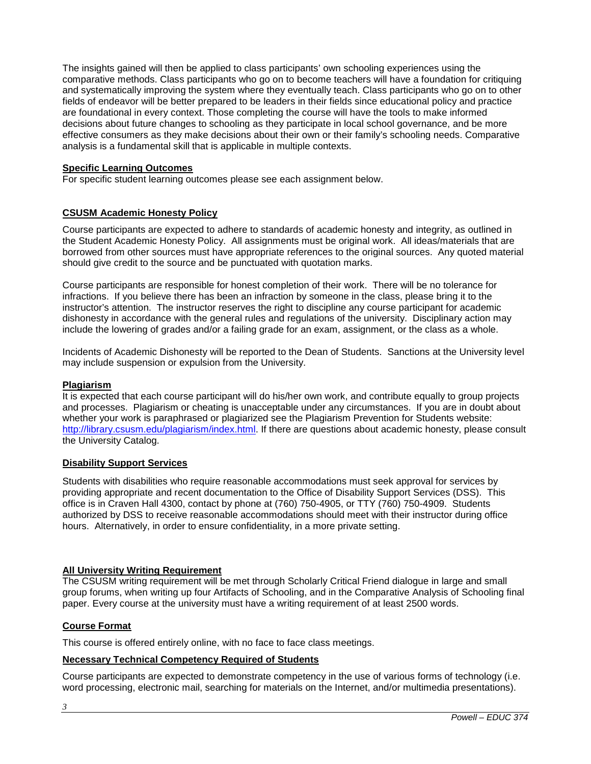The insights gained will then be applied to class participants' own schooling experiences using the comparative methods. Class participants who go on to become teachers will have a foundation for critiquing and systematically improving the system where they eventually teach. Class participants who go on to other fields of endeavor will be better prepared to be leaders in their fields since educational policy and practice are foundational in every context. Those completing the course will have the tools to make informed decisions about future changes to schooling as they participate in local school governance, and be more effective consumers as they make decisions about their own or their family's schooling needs. Comparative analysis is a fundamental skill that is applicable in multiple contexts.

#### **Specific Learning Outcomes**

For specific student learning outcomes please see each assignment below.

### **CSUSM Academic Honesty Policy**

Course participants are expected to adhere to standards of academic honesty and integrity, as outlined in the Student Academic Honesty Policy. All assignments must be original work. All ideas/materials that are borrowed from other sources must have appropriate references to the original sources. Any quoted material should give credit to the source and be punctuated with quotation marks.

Course participants are responsible for honest completion of their work. There will be no tolerance for infractions. If you believe there has been an infraction by someone in the class, please bring it to the instructor's attention. The instructor reserves the right to discipline any course participant for academic dishonesty in accordance with the general rules and regulations of the university. Disciplinary action may include the lowering of grades and/or a failing grade for an exam, assignment, or the class as a whole.

Incidents of Academic Dishonesty will be reported to the Dean of Students. Sanctions at the University level may include suspension or expulsion from the University.

#### **Plagiarism**

It is expected that each course participant will do his/her own work, and contribute equally to group projects and processes. Plagiarism or cheating is unacceptable under any circumstances. If you are in doubt about whether your work is paraphrased or plagiarized see the Plagiarism Prevention for Students website: [http://library.csusm.edu/plagiarism/index.html.](http://library.csusm.edu/plagiarism/index.html) If there are questions about academic honesty, please consult the University Catalog.

#### **Disability Support Services**

Students with disabilities who require reasonable accommodations must seek approval for services by providing appropriate and recent documentation to the Office of Disability Support Services (DSS). This office is in Craven Hall 4300, contact by phone at (760) 750-4905, or TTY (760) 750-4909. Students authorized by DSS to receive reasonable accommodations should meet with their instructor during office hours. Alternatively, in order to ensure confidentiality, in a more private setting.

#### **All University Writing Requirement**

The CSUSM writing requirement will be met through Scholarly Critical Friend dialogue in large and small group forums, when writing up four Artifacts of Schooling, and in the Comparative Analysis of Schooling final paper. Every course at the university must have a writing requirement of at least 2500 words.

#### **Course Format**

This course is offered entirely online, with no face to face class meetings.

#### **Necessary Technical Competency Required of Students**

Course participants are expected to demonstrate competency in the use of various forms of technology (i.e. word processing, electronic mail, searching for materials on the Internet, and/or multimedia presentations).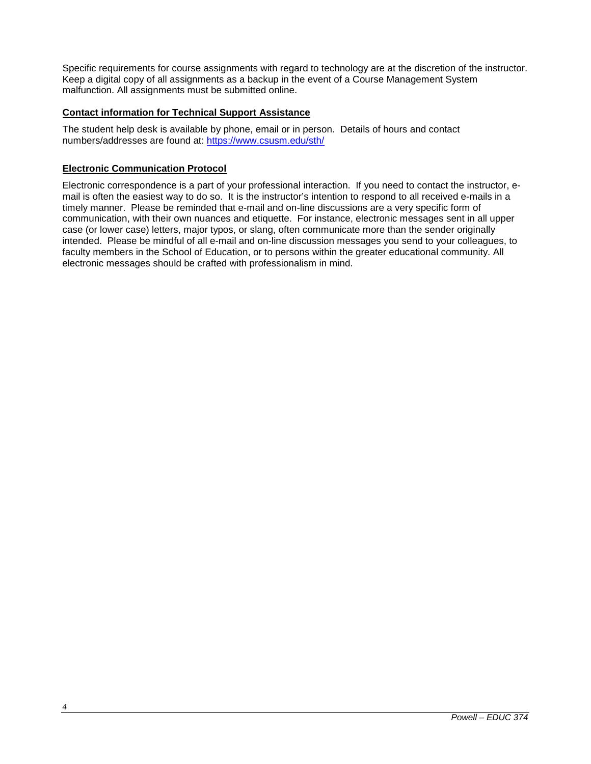Specific requirements for course assignments with regard to technology are at the discretion of the instructor. Keep a digital copy of all assignments as a backup in the event of a Course Management System malfunction. All assignments must be submitted online.

#### **Contact information for Technical Support Assistance**

The student help desk is available by phone, email or in person. Details of hours and contact numbers/addresses are found at: <https://www.csusm.edu/sth/>

#### **Electronic Communication Protocol**

Electronic correspondence is a part of your professional interaction. If you need to contact the instructor, email is often the easiest way to do so. It is the instructor's intention to respond to all received e-mails in a timely manner. Please be reminded that e-mail and on-line discussions are a very specific form of communication, with their own nuances and etiquette. For instance, electronic messages sent in all upper case (or lower case) letters, major typos, or slang, often communicate more than the sender originally intended. Please be mindful of all e-mail and on-line discussion messages you send to your colleagues, to faculty members in the School of Education, or to persons within the greater educational community. All electronic messages should be crafted with professionalism in mind.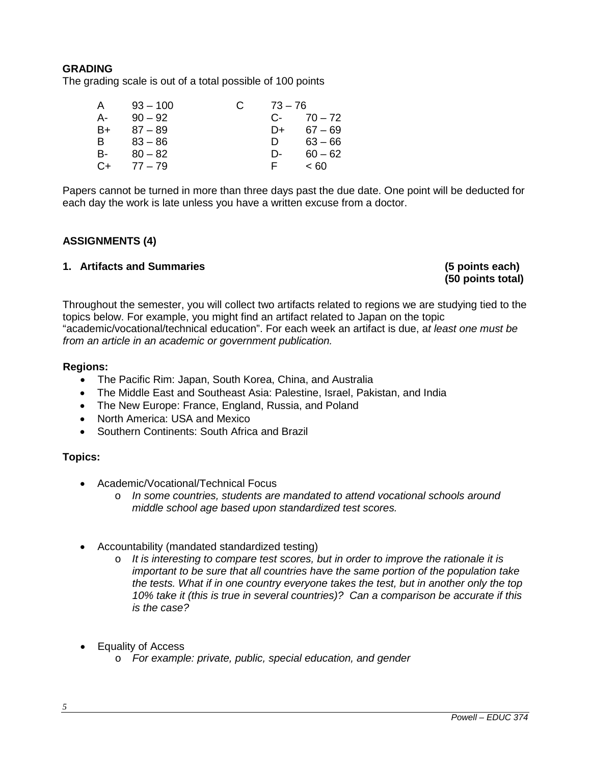# **GRADING**

The grading scale is out of a total possible of 100 points

| A    | $93 - 100$ | $73 - 76$ |           |
|------|------------|-----------|-----------|
| А-   | $90 - 92$  | С-        | $70 - 72$ |
| B+   | $87 - 89$  | D+        | $67 - 69$ |
| B    | $83 - 86$  | D         | $63 - 66$ |
| в-   | $80 - 82$  | D-        | $60 - 62$ |
| $C+$ | $77 - 79$  | F.        | ~< 60     |

Papers cannot be turned in more than three days past the due date. One point will be deducted for each day the work is late unless you have a written excuse from a doctor.

# **ASSIGNMENTS (4)**

# **1. Artifacts and Summaries (5 points each)**

**(50 points total)**

Throughout the semester, you will collect two artifacts related to regions we are studying tied to the topics below. For example, you might find an artifact related to Japan on the topic "academic/vocational/technical education". For each week an artifact is due, a*t least one must be from an article in an academic or government publication.* 

# **Regions:**

- The Pacific Rim: Japan, South Korea, China, and Australia
- The Middle East and Southeast Asia: Palestine, Israel, Pakistan, and India
- The New Europe: France, England, Russia, and Poland
- North America: USA and Mexico
- Southern Continents: South Africa and Brazil

# **Topics:**

- Academic/Vocational/Technical Focus
	- o *In some countries, students are mandated to attend vocational schools around middle school age based upon standardized test scores.*
- Accountability (mandated standardized testing)
	- o *It is interesting to compare test scores, but in order to improve the rationale it is important to be sure that all countries have the same portion of the population take the tests. What if in one country everyone takes the test, but in another only the top 10% take it (this is true in several countries)? Can a comparison be accurate if this is the case?*
- Equality of Access
	- o *For example: private, public, special education, and gender*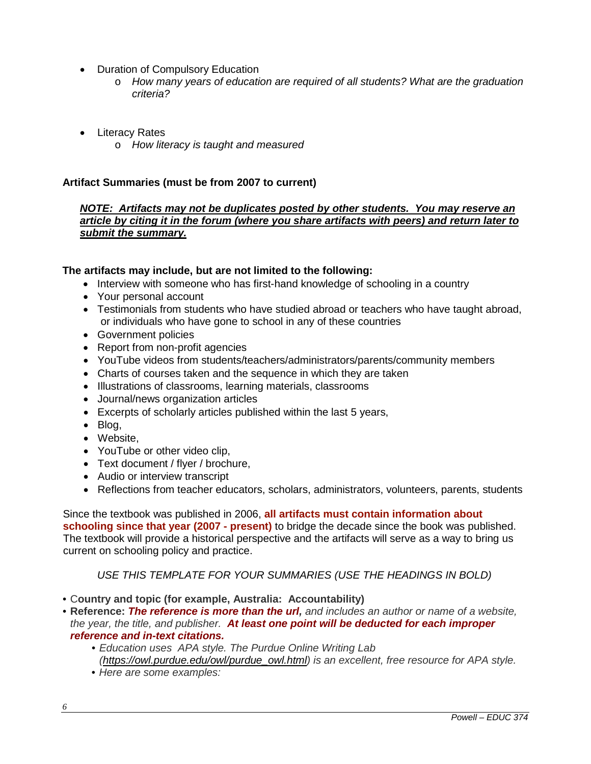- Duration of Compulsory Education
	- o *How many years of education are required of all students? What are the graduation criteria?*
- Literacy Rates
	- o *How literacy is taught and measured*

# **Artifact Summaries (must be from 2007 to current)**

# *NOTE: Artifacts may not be duplicates posted by other students. You may reserve an article by citing it in the forum (where you share artifacts with peers) and return later to submit the summary.*

# **The artifacts may include, but are not limited to the following:**

- Interview with someone who has first-hand knowledge of schooling in a country
- Your personal account
- Testimonials from students who have studied abroad or teachers who have taught abroad, or individuals who have gone to school in any of these countries
- Government policies
- Report from non-profit agencies
- YouTube videos from students/teachers/administrators/parents/community members
- Charts of courses taken and the sequence in which they are taken
- Illustrations of classrooms, learning materials, classrooms
- Journal/news organization articles
- Excerpts of scholarly articles published within the last 5 years,
- Blog,
- Website,
- YouTube or other video clip,
- Text document / flver / brochure,
- Audio or interview transcript
- Reflections from teacher educators, scholars, administrators, volunteers, parents, students

Since the textbook was published in 2006, **all artifacts must contain information about schooling since that year (2007 - present)** to bridge the decade since the book was published. The textbook will provide a historical perspective and the artifacts will serve as a way to bring us current on schooling policy and practice.

*USE THIS TEMPLATE FOR YOUR SUMMARIES (USE THE HEADINGS IN BOLD)*

- *•* C**ountry and topic (for example, Australia: Accountability)**
- *•* **Reference:** *The reference is more than the url, and includes an author or name of a website, the year, the title, and publisher. At least one point will be deducted for each improper reference and in-text citations.*
	- *• Education uses APA style. The Purdue Online Writing Lab [\(https://owl.purdue.edu/owl/purdue\\_owl.html\)](https://owl.purdue.edu/owl/purdue_owl.html) is an excellent, free resource for APA style.*
	- *• Here are some examples:*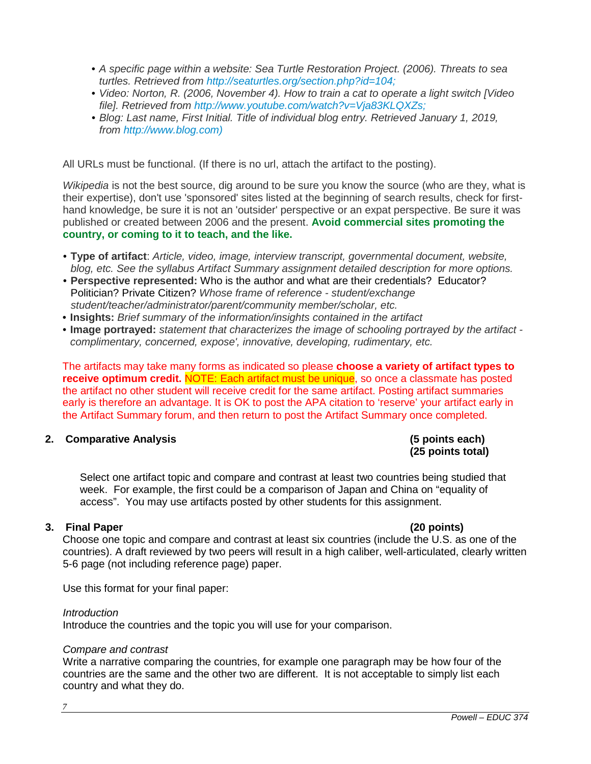- *• A specific page within a website: Sea Turtle Restoration Project. (2006). Threats to sea turtles. Retrieved from [http://seaturtles.org/section.php?id=104;](http://seaturtles.org/section.php?id=104)*
- *• Video: Norton, R. (2006, November 4). How to train a cat to operate a light switch [Video file]. Retrieved from [http://www.youtube.com/watch?v=Vja83KLQXZs;](http://www.youtube.com/watch?v=Vja83KLQXZs)*
- *• Blog: Last name, First Initial. Title of individual blog entry. Retrieved January 1, 2019, from [http://www.blog.com\)](http://www.blog.com/)*

All URLs must be functional. (If there is no url, attach the artifact to the posting).

*Wikipedia* is not the best source, dig around to be sure you know the source (who are they, what is their expertise), don't use 'sponsored' sites listed at the beginning of search results, check for firsthand knowledge, be sure it is not an 'outsider' perspective or an expat perspective. Be sure it was published or created between 2006 and the present. **Avoid commercial sites promoting the country, or coming to it to teach, and the like.**

- *•* **Type of artifact**: *Article, video, image, interview transcript, governmental document, website, blog, etc. See the syllabus Artifact Summary assignment detailed description for more options.*
- *•* **Perspective represented:** Who is the author and what are their credentials? Educator? Politician? Private Citizen? *Whose frame of reference - student/exchange student/teacher/administrator/parent/community member/scholar, etc.*
- *•* **Insights:** *Brief summary of the information/insights contained in the artifact*
- *•* **Image portrayed:** *statement that characterizes the image of schooling portrayed by the artifact complimentary, concerned, expose', innovative, developing, rudimentary, etc.*

The artifacts may take many forms as indicated so please **choose a variety of artifact types to receive optimum credit.** NOTE: Each artifact must be unique, so once a classmate has posted the artifact no other student will receive credit for the same artifact. Posting artifact summaries early is therefore an advantage. It is OK to post the APA citation to 'reserve' your artifact early in the Artifact Summary forum, and then return to post the Artifact Summary once completed.

# **2. Comparative Analysis (5 points each)**

# **(25 points total)**

Select one artifact topic and compare and contrast at least two countries being studied that week. For example, the first could be a comparison of Japan and China on "equality of access". You may use artifacts posted by other students for this assignment.

# **3. Final Paper (20 points)**

Choose one topic and compare and contrast at least six countries (include the U.S. as one of the countries). A draft reviewed by two peers will result in a high caliber, well-articulated, clearly written 5-6 page (not including reference page) paper.

Use this format for your final paper:

### *Introduction*

Introduce the countries and the topic you will use for your comparison.

### *Compare and contrast*

Write a narrative comparing the countries, for example one paragraph may be how four of the countries are the same and the other two are different. It is not acceptable to simply list each country and what they do.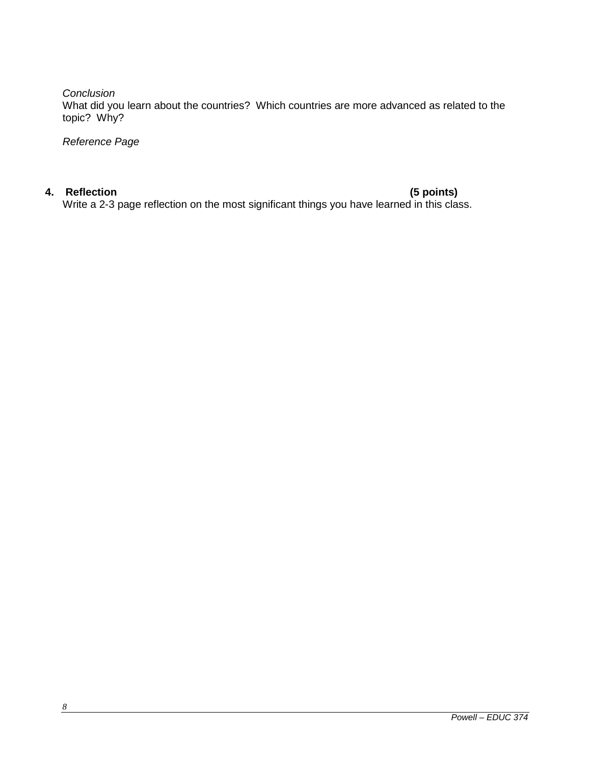*Conclusion*

What did you learn about the countries? Which countries are more advanced as related to the topic? Why?

*Reference Page*

**4. Reflection (5 points)** Write a 2-3 page reflection on the most significant things you have learned in this class.